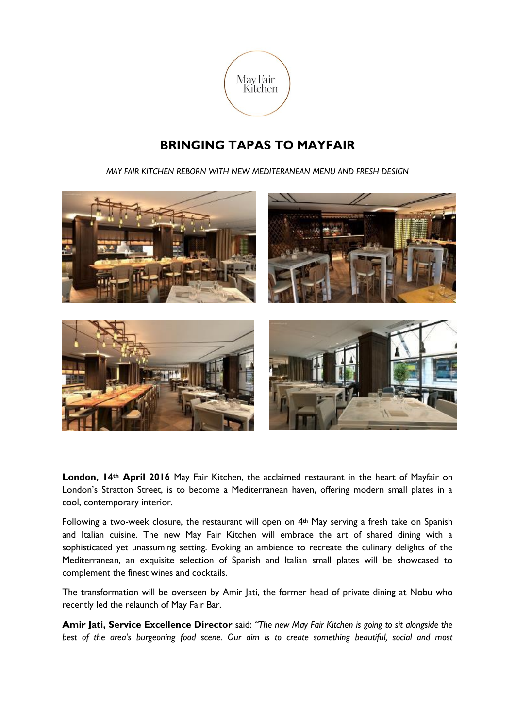

## **BRINGING TAPAS TO MAYFAIR**

*MAY FAIR KITCHEN REBORN WITH NEW MEDITERANEAN MENU AND FRESH DESIGN*



**London, 14th April 2016** May Fair Kitchen, the acclaimed restaurant in the heart of Mayfair on London's Stratton Street, is to become a Mediterranean haven, offering modern small plates in a cool, contemporary interior.

Following a two-week closure, the restaurant will open on  $4<sup>th</sup>$  May serving a fresh take on Spanish and Italian cuisine. The new May Fair Kitchen will embrace the art of shared dining with a sophisticated yet unassuming setting. Evoking an ambience to recreate the culinary delights of the Mediterranean, an exquisite selection of Spanish and Italian small plates will be showcased to complement the finest wines and cocktails.

The transformation will be overseen by Amir Jati, the former head of private dining at Nobu who recently led the relaunch of May Fair Bar.

**Amir Jati, Service Excellence Director** said: *"The new May Fair Kitchen is going to sit alongside the best of the area's burgeoning food scene. Our aim is to create something beautiful, social and most*